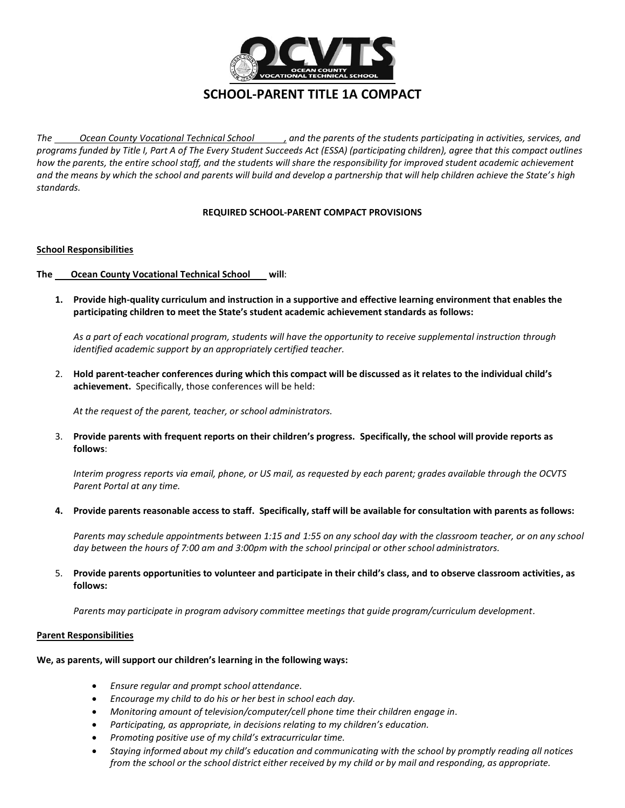

# **SCHOOL-PARENT TITLE 1A COMPACT**

*The Ocean County Vocational Technical School , and the parents of the students participating in activities, services, and programs funded by Title I, Part A of The Every Student Succeeds Act (ESSA) (participating children), agree that this compact outlines how the parents, the entire school staff, and the students will share the responsibility for improved student academic achievement and the means by which the school and parents will build and develop a partnership that will help children achieve the State's high standards.*

## **REQUIRED SCHOOL-PARENT COMPACT PROVISIONS**

## **School Responsibilities**

## **The Ocean County Vocational Technical School will**:

**1. Provide high-quality curriculum and instruction in a supportive and effective learning environment that enables the participating children to meet the State's student academic achievement standards as follows:**

*As a part of each vocational program, students will have the opportunity to receive supplemental instruction through identified academic support by an appropriately certified teacher.* 

2. **Hold parent-teacher conferences during which this compact will be discussed as it relates to the individual child's achievement.** Specifically, those conferences will be held:

*At the request of the parent, teacher, or school administrators.*

3. **Provide parents with frequent reports on their children's progress. Specifically, the school will provide reports as follows**:

*Interim progress reports via email, phone, or US mail, as requested by each parent; grades available through the OCVTS Parent Portal at any time.* 

**4. Provide parents reasonable access to staff. Specifically, staff will be available for consultation with parents as follows:**

*Parents may schedule appointments between 1:15 and 1:55 on any school day with the classroom teacher, or on any school day between the hours of 7:00 am and 3:00pm with the school principal or other school administrators.* 

5. **Provide parents opportunities to volunteer and participate in their child's class, and to observe classroom activities, as follows:**

*Parents may participate in program advisory committee meetings that guide program/curriculum development.* 

#### **Parent Responsibilities**

#### **We, as parents, will support our children's learning in the following ways:**

- *Ensure regular and prompt school attendance.*
- *Encourage my child to do his or her best in school each day.*
- *Monitoring amount of television/computer/cell phone time their children engage in*.
- *Participating, as appropriate, in decisions relating to my children's education.*
- *Promoting positive use of my child's extracurricular time.*
- *Staying informed about my child's education and communicating with the school by promptly reading all notices from the school or the school district either received by my child or by mail and responding, as appropriate.*